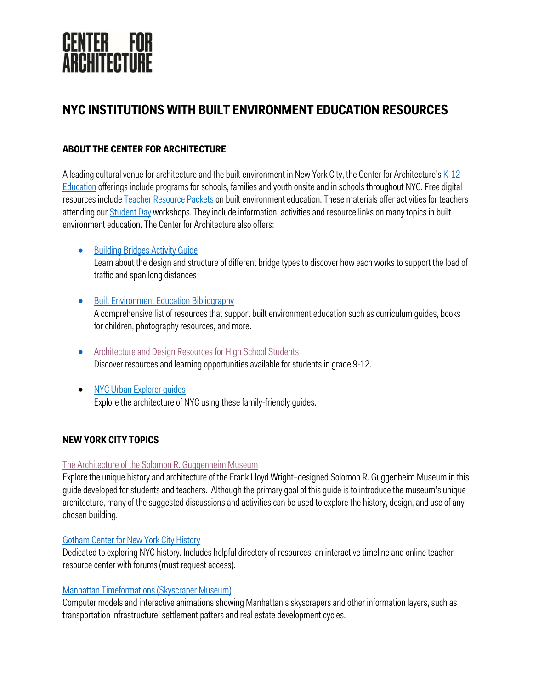

# **NYC INSTITUTIONS WITH BUILT ENVIRONMENT EDUCATION RESOURCES**

# **ABOUT THE CENTER FOR ARCHITECTURE**

A leading cultural venue for architecture and the built environment in New York City, the Center for Architecture's K-12 Education offerings include programs for schools, families and youth onsite and in schools throughout NYC. Free digital resources include Teacher Resource Packets on built environment education. These materials offer activities for teachers attending our Student Day workshops. They include information, activities and resource links on many topics in built environment education. The Center for Architecture also offers:

#### • Building Bridges Activity Guide

Learn about the design and structure of different bridge types to discover how each works to support the load of traffic and span long distances

- Built Environment Education Bibliography A comprehensive list of resources that support built environment education such as curriculum guides, books for children, photography resources, and more.
- Architecture and Design Resources for High School Students Discover resources and learning opportunities available for students in grade 9-12.
- NYC Urban Explorer guides Explore the architecture of NYC using these family-friendly guides.

#### **NEW YORK CITY TOPICS**

#### The Architecture of the Solomon R. Guggenheim Museum

Explore the unique history and architecture of the Frank Lloyd Wright–designed Solomon R. Guggenheim Museum in this guide developed for students and teachers. Although the primary goal of this guide is to introduce the museum's unique architecture, many of the suggested discussions and activities can be used to explore the history, design, and use of any chosen building.

#### Gotham Center for New York City History

Dedicated to exploring NYC history. Includes helpful directory of resources, an interactive timeline and online teacher resource center with forums (must request access).

#### Manhattan Timeformations (Skyscraper Museum)

Computer models and interactive animations showing Manhattan's skyscrapers and other information layers, such as transportation infrastructure, settlement patters and real estate development cycles.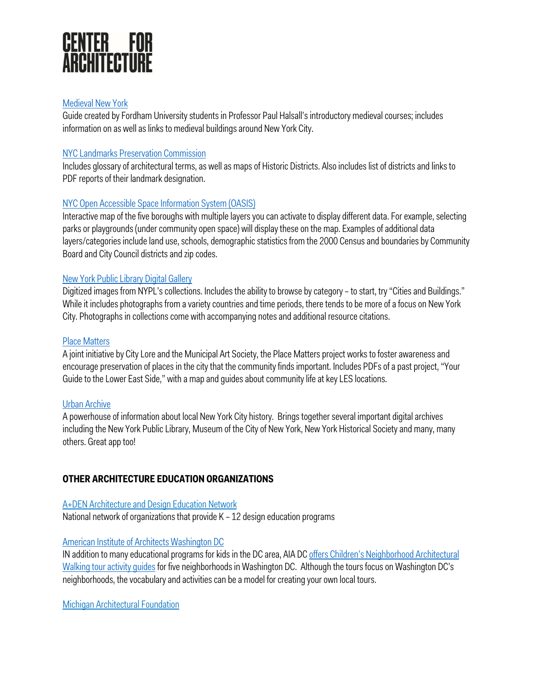

#### Medieval New York

Guide created by Fordham University students in Professor Paul Halsall's introductory medieval courses; includes information on as well as links to medieval buildings around New York City.

#### NYC Landmarks Preservation Commission

Includes glossary of architectural terms, as well as maps of Historic Districts. Also includes list of districts and links to PDF reports of their landmark designation.

#### NYC Open Accessible Space Information System (OASIS)

Interactive map of the five boroughs with multiple layers you can activate to display different data. For example, selecting parks or playgrounds (under community open space) will display these on the map. Examples of additional data layers/categories include land use, schools, demographic statistics from the 2000 Census and boundaries by Community Board and City Council districts and zip codes.

#### New York Public Library Digital Gallery

Digitized images from NYPL's collections. Includes the ability to browse by category – to start, try "Cities and Buildings." While it includes photographs from a variety countries and time periods, there tends to be more of a focus on New York City. Photographs in collections come with accompanying notes and additional resource citations.

#### Place Matters

A joint initiative by City Lore and the Municipal Art Society, the Place Matters project works to foster awareness and encourage preservation of places in the city that the community finds important. Includes PDFs of a past project, "Your Guide to the Lower East Side," with a map and guides about community life at key LES locations.

#### Urban Archive

A powerhouse of information about local New York City history. Brings together several important digital archives including the New York Public Library, Museum of the City of New York, New York Historical Society and many, many others. Great app too!

#### **OTHER ARCHITECTURE EDUCATION ORGANIZATIONS**

#### A+DEN Architecture and Design Education Network

National network of organizations that provide K – 12 design education programs

#### American Institute of Architects Washington DC

IN addition to many educational programs for kids in the DC area, AIA DC offers Children's Neighborhood Architectural Walking tour activity quides for five neighborhoods in Washington DC. Although the tours focus on Washington DC's neighborhoods, the vocabulary and activities can be a model for creating your own local tours.

Michigan Architectural Foundation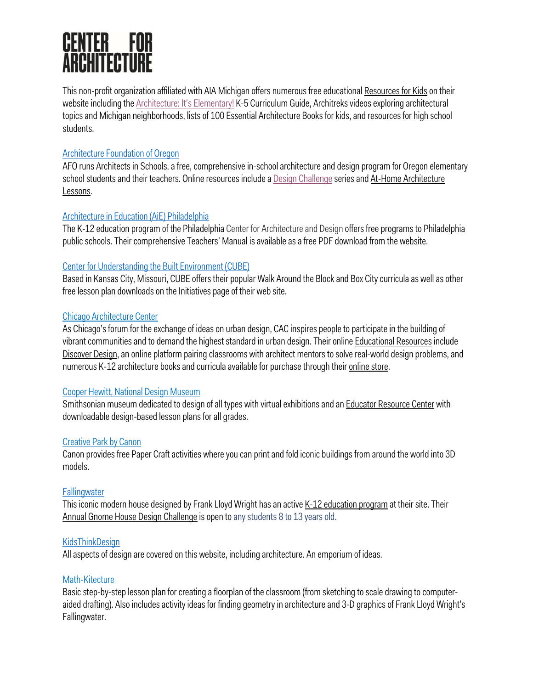# **CENTER FOR<br>ARCHITECTURE**

This non-profit organization affiliated with AIA Michigan offers numerous free educational Resources for Kids on their website including the **Architecture: It's Elementary!** K-5 Curriculum Guide, Architreks videos exploring architectural topics and Michigan neighborhoods, lists of 100 Essential Architecture Books for kids, and resources for high school students.

# Architecture Foundation of Oregon

AFO runs Architects in Schools, a free, comprehensive in-school architecture and design program for Oregon elementary school students and their teachers. Online resources include a Design Challenge series and At-Home Architecture Lessons.

# Architecture in Education (AiE) Philadelphia

The K-12 education program of the Philadelphia Center for Architecture and Design offers free programs to Philadelphia public schools. Their comprehensive Teachers' Manual is available as a free PDF download from the website.

# Center for Understanding the Built Environment (CUBE)

Based in Kansas City, Missouri, CUBE offers their popular Walk Around the Block and Box City curricula as well as other free lesson plan downloads on the Initiatives page of their web site.

# Chicago Architecture Center

As Chicago's forum for the exchange of ideas on urban design, CAC inspires people to participate in the building of vibrant communities and to demand the highest standard in urban design. Their online Educational Resources include Discover Design, an online platform pairing classrooms with architect mentors to solve real-world design problems, and numerous K-12 architecture books and curricula available for purchase through their online store.

# Cooper Hewitt, National Design Museum

Smithsonian museum dedicated to design of all types with virtual exhibitions and an Educator Resource Center with downloadable design-based lesson plans for all grades.

# Creative Park by Canon

Canon provides free Paper Craft activities where you can print and fold iconic buildings from around the world into 3D models.

# **Fallingwater**

This iconic modern house designed by Frank Lloyd Wright has an active K-12 education program at their site. Their Annual Gnome House Design Challenge is open to any students 8 to 13 years old.

# **KidsThinkDesign**

All aspects of design are covered on this website, including architecture. An emporium of ideas.

# Math-Kitecture

Basic step-by-step lesson plan for creating a floorplan of the classroom (from sketching to scale drawing to computeraided drafting). Also includes activity ideas for finding geometry in architecture and 3-D graphics of Frank Lloyd Wright's Fallingwater.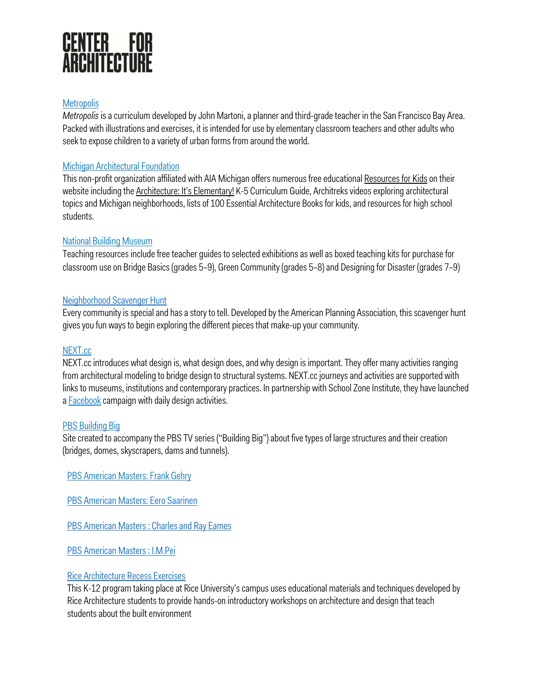# **CENTER FOR<br>ARCHITECTURE**

#### **Metropolis**

*Metropolis*is a curriculum developed by John Martoni, a planner and third-grade teacher in the San Francisco Bay Area. Packed with illustrations and exercises, it is intended for use by elementary classroom teachers and other adults who seek to expose children to a variety of urban forms from around the world.

# Michigan Architectural Foundation

This non-profit organization affiliated with AIA Michigan offers numerous free educational Resources for Kids on their website including the Architecture: It's Elementary! K-5 Curriculum Guide, Architreks videos exploring architectural topics and Michigan neighborhoods, lists of 100 Essential Architecture Books for kids, and resources for high school students.

# National Building Museum

Teaching resources include free teacher guides to selected exhibitions as well as boxed teaching kits for purchase for classroom use on Bridge Basics (grades 5–9), Green Community (grades 5–8) and Designing for Disaster (grades 7–9)

# Neighborhood Scavenger Hunt

Every community is special and has a story to tell. Developed by the American Planning Association, this scavenger hunt gives you fun ways to begin exploring the different pieces that make-up your community.

# NEXT.cc

NEXT.cc introduces what design is, what design does, and why design is important. They offer many activities ranging from architectural modeling to bridge design to structural systems. NEXT.cc journeys and activities are supported with links to museums, institutions and contemporary practices. In partnership with School Zone Institute, they have launched a **Facebook** campaign with daily design activities.

#### **PBS Building Big**

Site created to accompany the PBS TV series ("Building Big") about five types of large structures and their creation (bridges, domes, skyscrapers, dams and tunnels).

PBS American Masters: Frank Gehry

PBS American Masters: Eero Saarinen

PBS American Masters : Charles and Ray Eames

PBS American Masters : I.M.Pei

#### Rice Architecture Recess Exercises

This K-12 program taking place at Rice University's campus uses educational materials and techniques developed by Rice Architecture students to provide hands-on introductory workshops on architecture and design that teach students about the built environment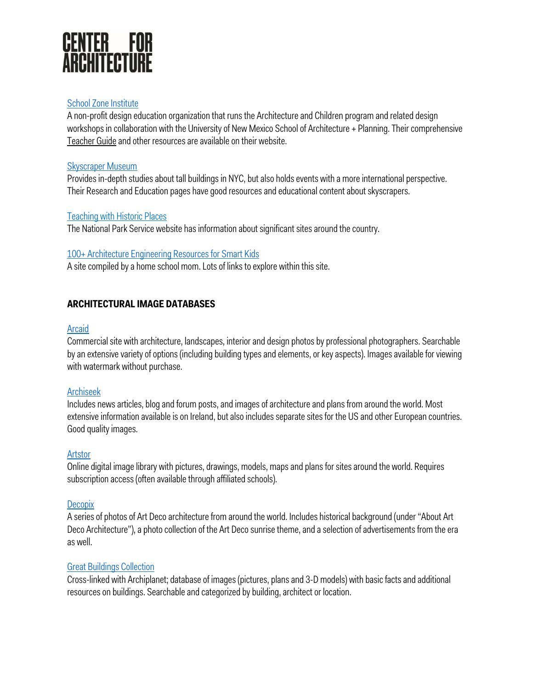

#### School Zone Institute

A non-profit design education organization that runs the Architecture and Children program and related design workshops in collaboration with the University of New Mexico School of Architecture + Planning. Their comprehensive Teacher Guide and other resources are available on their website.

#### Skyscraper Museum

Provides in-depth studies about tall buildings in NYC, but also holds events with a more international perspective. Their Research and Education pages have good resources and educational content about skyscrapers.

#### Teaching with Historic Places

The National Park Service website has information about significant sites around the country.

#### 100+ Architecture Engineering Resources for Smart Kids

A site compiled by a home school mom. Lots of links to explore within this site.

# **ARCHITECTURAL IMAGE DATABASES**

#### **Arcaid**

Commercial site with architecture, landscapes, interior and design photos by professional photographers. Searchable by an extensive variety of options (including building types and elements, or key aspects). Images available for viewing with watermark without purchase.

#### Archiseek

Includes news articles, blog and forum posts, and images of architecture and plans from around the world. Most extensive information available is on Ireland, but also includes separate sites for the US and other European countries. Good quality images.

#### **Artstor**

Online digital image library with pictures, drawings, models, maps and plans for sites around the world. Requires subscription access (often available through affiliated schools).

#### **Decopix**

A series of photos of Art Deco architecture from around the world. Includes historical background (under "About Art Deco Architecture"), a photo collection of the Art Deco sunrise theme, and a selection of advertisements from the era as well.

#### Great Buildings Collection

Cross-linked with Archiplanet; database of images (pictures, plans and 3-D models) with basic facts and additional resources on buildings. Searchable and categorized by building, architect or location.